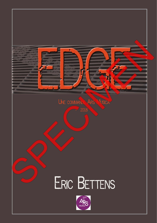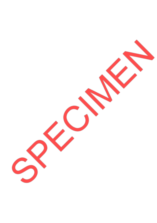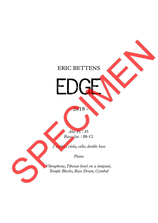## ERIC BETTENS

EDGE

- 2018 -

*Alto Fl. / Fl. Bass clar. / Bb Cl.*

*2 violins, viola,cello, double bass*

*Piano*

*Vibraphone,Tibetan bowl on a timpani, Temple Blocks, Bass Drum, Cymbal*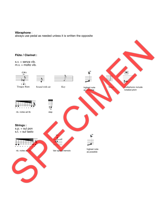## **Vibraphone** :

always use pedal as needed unless it is written the opposite

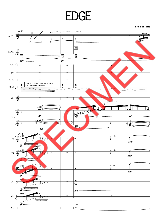## EDGE

## Eric BETTENS

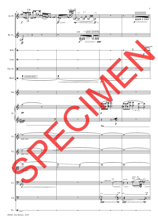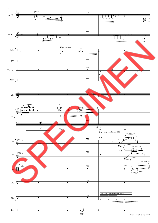

ppp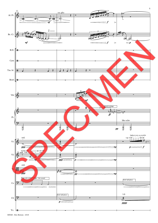

EDGE - Eric Bettens - 2018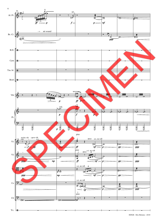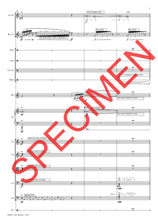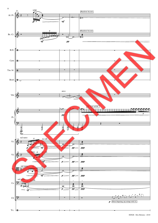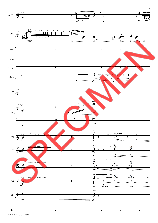

/ ∑ ∑ ∑ ∑

T-t.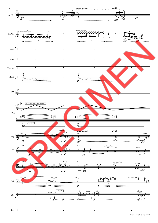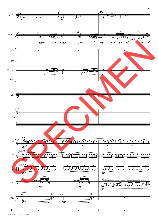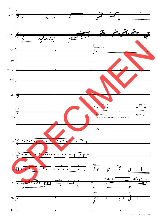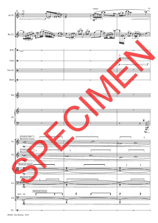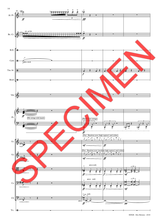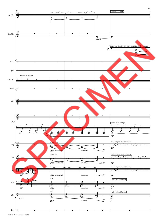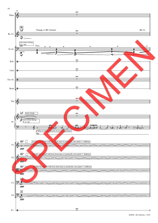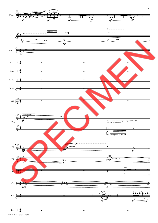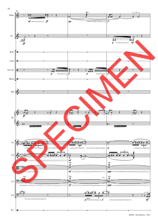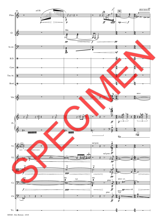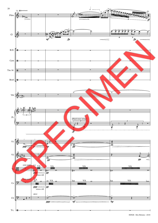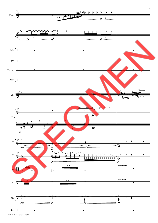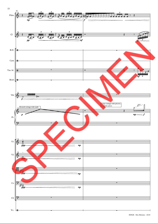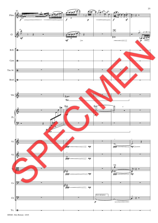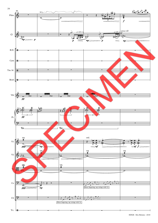

EDGE - Eric Bettens - 2018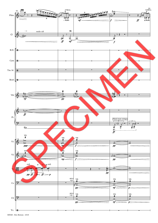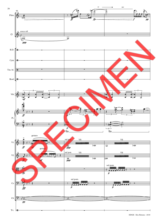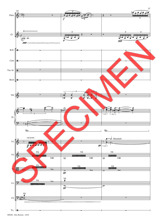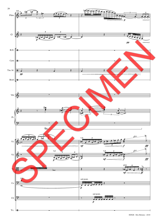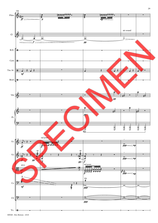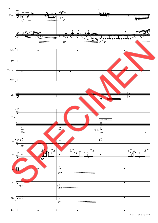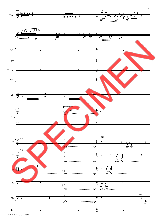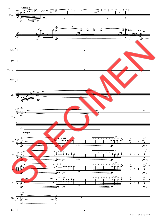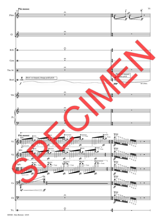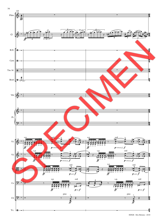

EDGE - Eric Bettens - 2018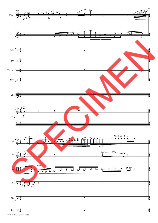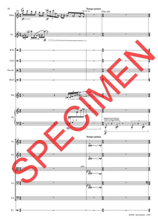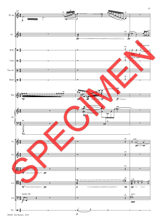

 $37$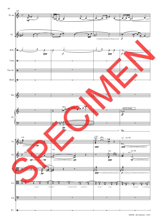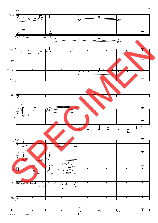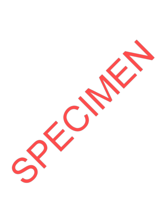